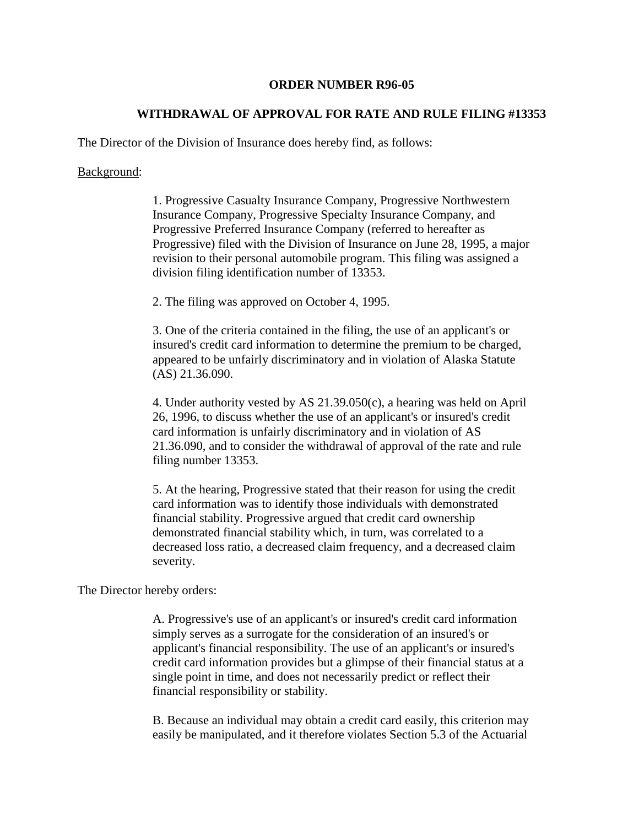## **ORDER NUMBER R96-05**

## **WITHDRAWAL OF APPROVAL FOR RATE AND RULE FILING #13353**

The Director of the Division of Insurance does hereby find, as follows:

## Background:

1. Progressive Casualty Insurance Company, Progressive Northwestern Insurance Company, Progressive Specialty Insurance Company, and Progressive Preferred Insurance Company (referred to hereafter as Progressive) filed with the Division of Insurance on June 28, 1995, a major revision to their personal automobile program. This filing was assigned a division filing identification number of 13353.

2. The filing was approved on October 4, 1995.

3. One of the criteria contained in the filing, the use of an applicant's or insured's credit card information to determine the premium to be charged, appeared to be unfairly discriminatory and in violation of Alaska Statute (AS) 21.36.090.

4. Under authority vested by AS 21.39.050(c), a hearing was held on April 26, 1996, to discuss whether the use of an applicant's or insured's credit card information is unfairly discriminatory and in violation of AS 21.36.090, and to consider the withdrawal of approval of the rate and rule filing number 13353.

5. At the hearing, Progressive stated that their reason for using the credit card information was to identify those individuals with demonstrated financial stability. Progressive argued that credit card ownership demonstrated financial stability which, in turn, was correlated to a decreased loss ratio, a decreased claim frequency, and a decreased claim severity.

The Director hereby orders:

A. Progressive's use of an applicant's or insured's credit card information simply serves as a surrogate for the consideration of an insured's or applicant's financial responsibility. The use of an applicant's or insured's credit card information provides but a glimpse of their financial status at a single point in time, and does not necessarily predict or reflect their financial responsibility or stability.

B. Because an individual may obtain a credit card easily, this criterion may easily be manipulated, and it therefore violates Section 5.3 of the Actuarial